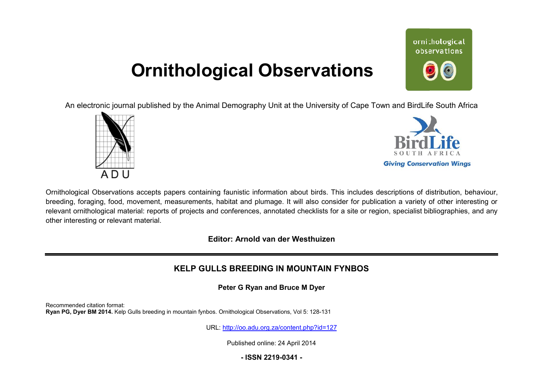# **Ornithological Observations**

ornithological observations

An electronic journal published by the Animal Demography Unit at the University of Cape Town and BirdLife South Africa





Ornithological Observations accepts papers containing faunistic information about birds. This includes descriptions of distribution, behaviour, breeding, foraging, food, movement, measurements, habitat and plumage. It will also consider for publication a variety of other interesting or relevant ornithological material: reports of projects and conferences, annotated checklists for a site or region, specialist bibliographies, and any other interesting or relevant material.

**Editor: Arnold van der Westhuizen**

# **KELP GULLS BREEDING IN MOUNTAIN FYNBOS**

**Peter G Ryan and Bruce M Dyer**

Recommended citation format: Ryan PG, Dyer BM 2014. Kelp Gulls breeding in mountain fynbos. Ornithological Observations, Vol 5: 128-131

URL: <http://oo.adu.org.za/content.php?id=127>

Published online: 24 April 2014

**- ISSN 2219-0341 -**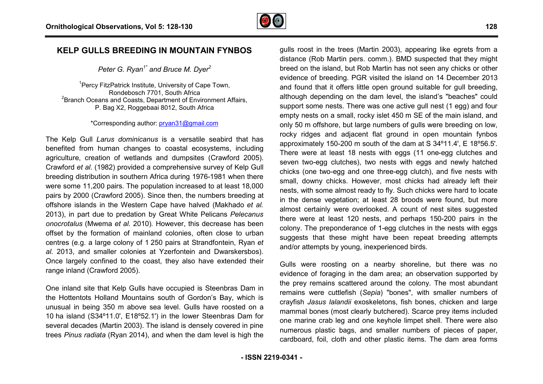

# **KELP GULLS BREEDING IN MOUNTAIN FYNBOS**

## *Peter G. Ryan1\* and Bruce M. Dyer<sup>2</sup>*

<sup>1</sup> Percy FitzPatrick Institute, University of Cape Town, Rondebosch 7701, South Africa <sup>2</sup> Branch Oceans and Coasts, Department of Environment Affairs, P. Bag X2, Roggebaai 8012, South Africa

#### \*Corresponding author: [pryan31@gmail.com](mailto:pryan31@gmail.com)

The Kelp Gull *Larus dominicanus* is a versatile seabird that has benefited from human changes to coastal ecosystems, including agriculture, creation of wetlands and dumpsites (Crawford 2005). Crawford *et al.* (1982) provided a comprehensive survey of Kelp Gull benefited from human changes to coastal ecosystems, including<br>agriculture, creation of wetlands and dumpsites (Crawford 2005).<br>Crawford et al. (1982) provided a comprehensive survey of Kelp Gull<br>breeding distribution in so were some 11,200 pairs. The population increased to at least 18,000 pairs by 2000 (Crawford 2005). Since then, the numbers breeding at offshore islands in the Western Cape have halved (Makhado *et al.* 2013), in part due to predation by Great White Pelicans *Pelecanus onocrotalus* (Mwema *et al.* 2010)*.* However, this decrease has been offset by the formation of mainland colonies, often close to urban centres (e.g. a large colony of 1 250 pairs at Strandfontein, Ryan *et al.* 2013, and smaller colonies at Yzerfontein and Dwarskersbos). Once largely confined to the coast, they also have extended their range inland (Crawford 2005).

One inland site that Kelp Gulls have occupied is Steenbras Dam in the Hottentots Holland Mountains south of Gordon's Bay, which is unusual in being 350 m above sea level. Gulls have roosted on a 10 ha island (S34º11.0', E18º52.1') in the lower Steenbras Dam for several decades (Martin 2003). The island is densely covered in pine trees *Pinus radiata* (Ryan 2014), and when the dam level is high the

**ELP GUILLS BREEDING IN MOUNTAIN FYNBOS** guist roots in the trees (Martin pers. comm.). BMD suspected that the trees (Martin 2003), appearing like egres from Brunch Debauta, but Refer C. *Ryan<sup>2</sup>* represents in the trees distance (Rob Martin pers. comm.). BMD suspected that they might breed on the island, but Rob Martin has not seen any chicks or other evidence of breeding. PGR visited the island on 14 December 2013 and found that it offers little open ground suitable for gull breeding, although depending on the dam level, the island's "beaches" could support some nests. There was one active gull nest (1 egg) and four empty nests on a small, rocky islet 450 m SE of the main island, and only 50 m offshore, but large numbers of gulls were breeding on low, rocky ridges and adjacent flat ground in open mountain fynbos approximately 150-200 m south of the dam at S 34º11.4', E 18º56.5'. There were at least 18 nests with eggs (11 one-egg clutches and seven two-egg clutches), two nests with eggs and newly hatched chicks (one two-egg and one three-egg clutch), and five nests with small, downy chicks. However, most chicks had already left their nests, with some almost ready to fly. Such chicks were hard to locate in the dense vegetation; at least 28 broods were found, but more almost certainly were overlooked. A count of nest sites suggested there were at least 120 nests, and perhaps 150-200 pairs in the colony. The preponderance of 1-egg clutches in the nests with eggs suggests that these might have been repeat breeding attempts and/or attempts by young, inexperienced birds. qulls roost in the trees (Martin 2003), appearing like egrets from a egg clutches), two nests with eggs and newly hatched<br>
two-egg and one three-egg clutch), and five nests with<br>
ny chicks. However, most chicks had already left their<br>
some almost ready to fly. Such chicks were hard to locat egg clutches in the nests with eggs<br>e been repeat breeding attempts<br>rienced birds.<br>urby shoreline, but there was no

Gulls were roosting on a nearby shoreline, but there was no evidence of foraging in the dam area; an observation supported by the prey remains scattered around the colony. The most abundant remains were cuttlefish (*Sepia*) "bones", with smaller numbers of crayfish *Jasus lalandii* exoskeletons, fish bones, chicken and large mammal bones (most clearly butchered). Scarce prey items included one marine crab leg and one keyhole limpet shell. There were also numerous plastic bags, and smaller numbers of pieces of paper, cardboard, foil, cloth and other plastic items. The dam area forms nes", with s<br>fish bones,<br>ed). Scarce<br>e limpet she<br>r numbers c<br>tic items. Th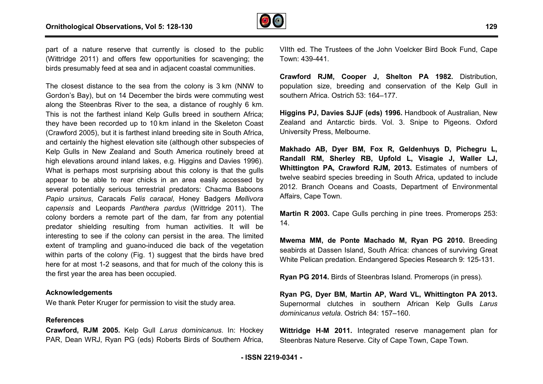

part of a nature reserve that currently is closed to the public (Wittridge 2011) and offers few opportunities for scavenging; the birds presumably feed at sea and in adjacent coastal communities.

The closest distance to the sea from the colony is 3 km (NNW to Gordon's Bay), but on 14 December the birds were commuting west along the Steenbras River to the sea, a distance of roughly 6 km. This is not the farthest inland Kelp Gulls breed in southern Africa; they have been recorded up to 10 km inland in the Skeleton Coast (Crawford 2005), but it is farthest inland breeding site in South Africa, and certainly the highest elevation site (although other subspecies of Kelp Gulls in New Zealand and South America routinely breed at high elevations around inland lakes, e.g. Higgins and Davies 1996 1996). What is perhaps most surprising about this colony is that the gulls appear to be able to rear chicks in an area easily accessed by several potentially serious terrestrial predators: Chacma Bab Baboons *Papio ursinus*, Caracals *Felis caracal*, Honey Badgers *Mellivora capensis* and Leopards *Panthera pardus* (Wittridge 2011). The colony borders a remote part of the dam, far from any potential predator shielding resulting from human activities. It will be interesting to see if the colony can persist in the area. The limited extent of trampling and guano-induced die back of the vegetation within parts of the colony (Fig. 1) suggest that the birds have bred here for at most 1-2 seasons, and that for much of the colony this is the first year the area has been occupied. nteresting to see if the colony can persist in the area. The limited<br>extent of trampling and guano-induced die back of the vegetation<br>within parts of the colony (Fig. 1) suggest that the birds have bred<br>nere for at most 1-

#### **Acknowledgements**

We thank Peter Kruger for permission to visit the study area.

### **References**

**Crawford, RJM 2005.** Kelp Gull *Larus dominicanus* PAR, Dean WRJ, Ryan PG (eds) Roberts Birds of Southern Africa,

Vilth ed. The Trustees of the John Voelcker Bird Book Fund, Cape Town: 439-441.

**Crawford RJM, Cooper J, Shelton PA 1982.** Distribution, population size, breeding and conservation of the Kelp Gull in southern Africa. Ostrich 53: 164–177.

**Higgins PJ, Davies SJJF (eds) 1996.** Handbook of Australian, New Zealand and Antarctic birds. Vol. 3. Snipe to P Pigeons. Oxford University Press, Melbourne.

**Makhado AB, Dyer BM, Fox R, Geldenhuys D, Pichegru L L, Randall RM, Sherley RB, Upfold L, Visagi isagie J, Waller LJ, Whittington PA, Crawford RJM, 2013.** Estimates of numbers of twelve seabird species breeding in South Africa, updated to include 2012. Branch Oceans and Coasts, Department of Environmental Affairs, Cape Town.

**Martin R 2003.** Cape Gulls perching in pine trees. Promerops 253: 14.

**Mwema MM, de Ponte Machado M, Ryan PG 2010.**  Breeding seabirds at Dassen Island, South Africa: chances of surviving Great White Pelican predation. Endangered Species Research 9: 125-131.

**Ryan PG 2014.** Birds of Steenbras Island. Promerops (in press). .

**Ryan PG, Dyer BM, Martin AP, Ward VL, Whittington PA 2013.** Supernormal clutches in southern African Kelp Gulls *Larus dominicanus vetula*. Ostrich 84: 157–160.

**Wittridge H-M 2011.** Integrated reserve management plan for Steenbras Nature Reserve. City of Cape Town, Cape Town.